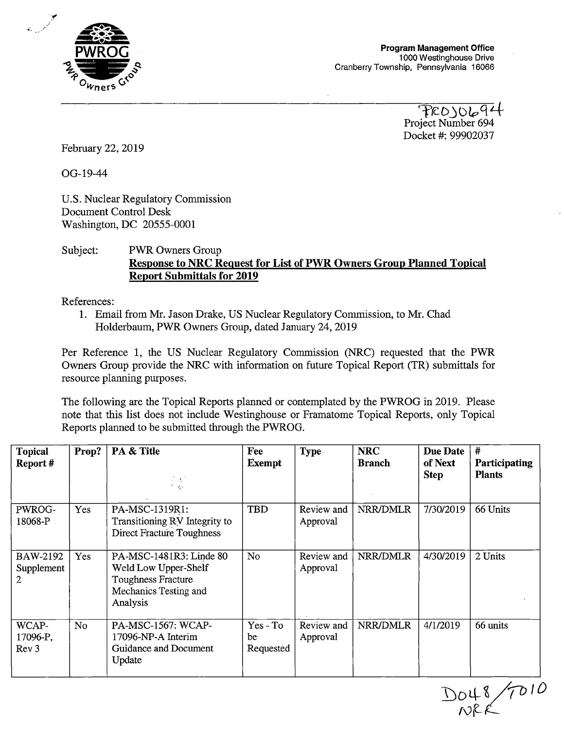

Project Number 694 Docket #: 99902037

February 22, 2019

OG-19-44

U.S. Nuclear Regulatory Commission Document Control Desk Washington, DC 20555-0001

## Subject: PWR Owners Group **Response to NRC Request for List of PWR Owners Group Planned Topical Report Submittals for 2019**

References:

1. Email from Mr. Jason Drake, US Nuclear Regulatory Commission, to Mr. Chad Holderbaum, PWR Owners Group, dated January 24, 2019

Per Reference 1, the US Nuclear Regulatory Commission (NRC) requested that the PWR Owners Group provide the NRC with information on future Topical Report (TR) submittals for resource planning purposes.

The following are the Topical Reports planned or contemplated by the PWROG in 2019. Please note that this list does not include Westinghouse or Framatome Topical Reports, only Topical Reports planned to be submitted through the PWROG.

| <b>Topical</b><br>Report #            | Prop?          | PA & Title<br>$\mathcal{L} \in \mathcal{L}$<br>hi gu                                                              | Fee<br><b>Exempt</b>          | <b>Type</b>            | <b>NRC</b><br><b>Branch</b> | <b>Due Date</b><br>of Next<br><b>Step</b> | #<br>Participating<br><b>Plants</b> |
|---------------------------------------|----------------|-------------------------------------------------------------------------------------------------------------------|-------------------------------|------------------------|-----------------------------|-------------------------------------------|-------------------------------------|
| PWROG-<br>18068-P                     | Yes            | PA-MSC-1319R1:<br>Transitioning RV Integrity to<br><b>Direct Fracture Toughness</b>                               | TBD                           | Review and<br>Approval | NRR/DMLR                    | 7/30/2019                                 | 66 Units                            |
| BAW-2192<br>Supplement<br>2           | Yes            | PA-MSC-1481R3: Linde 80<br>Weld Low Upper-Shelf<br><b>Toughness Fracture</b><br>Mechanics Testing and<br>Analysis | No.                           | Review and<br>Approval | NRR/DMLR                    | 4/30/2019                                 | 2 Units                             |
| WCAP-<br>17096-P.<br>Rev <sub>3</sub> | N <sub>o</sub> | PA-MSC-1567: WCAP-<br>17096-NP-A Interim<br>Guidance and Document<br>Update                                       | $Yes - To$<br>be<br>Requested | Review and<br>Approval | NRR/DMLR                    | 4/1/2019                                  | 66 units                            |

DO48/TO10